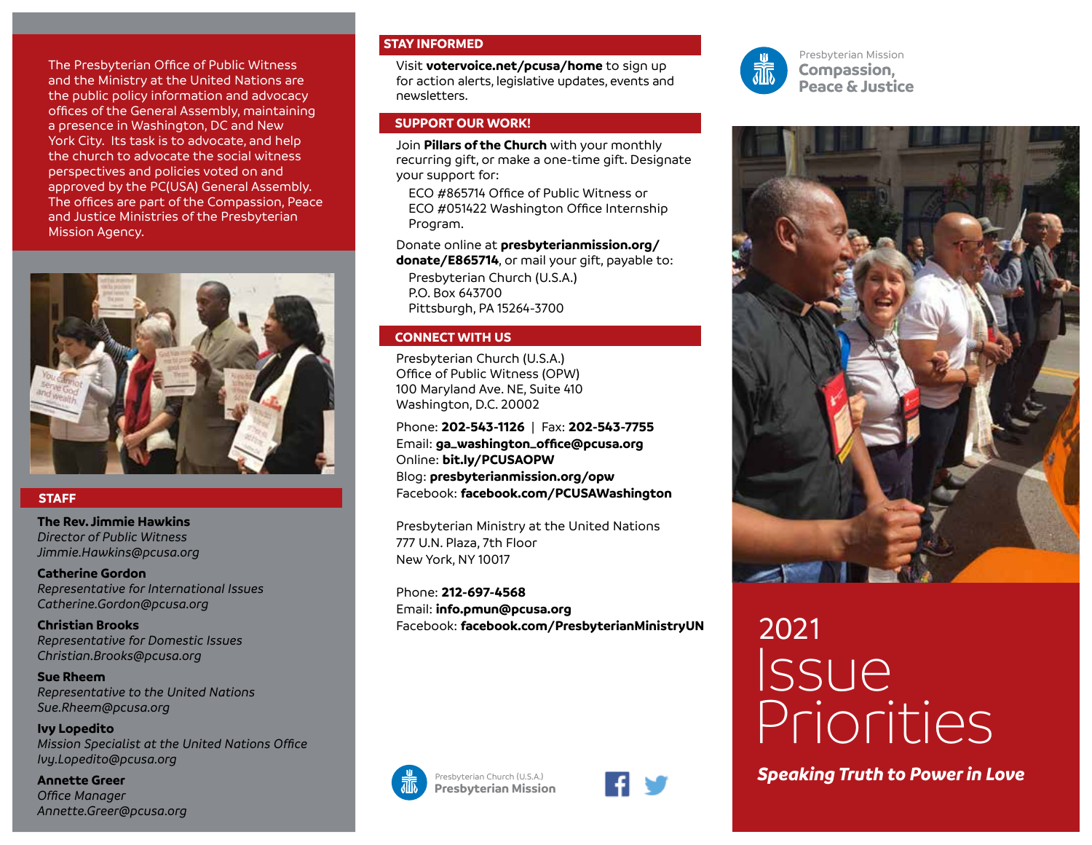The Presbyterian Office of Public Witness and the Ministry at the United Nations are the public policy information and advocacy offices of the General Assembly, maintaining a presence in Washington, DC and New York City. Its task is to advocate, and help the church to advocate the social witness perspectives and policies voted on and approved by the PC(USA) General Assembly. The offices are part of the Compassion, Peace and Justice Ministries of the Presbyterian Mission Agency.



## **STAFF**

**The Rev. Jimmie Hawkins** *Director of Public Witness Jimmie.Hawkins@pcusa.org*

**Catherine Gordon** *Representative for International Issues Catherine.Gordon@pcusa.org*

**Christian Brooks** *Representative for Domestic Issues Christian.Brooks@pcusa.org*

**Sue Rheem** *Representative to the United Nations Sue.Rheem@pcusa.org* 

**Ivy Lopedito** *Mission Specialist at the United Nations Office Ivy.Lopedito@pcusa.org*

**Annette Greer** *Office Manager Annette.Greer@pcusa.org* 

## **STAY INFORMED**

Visit **votervoice.net/pcusa/home** to sign up for action alerts, legislative updates, events and newsletters.

## **SUPPORT OUR WORK!**

Join **Pillars of the Church** with your monthly recurring gift, or make a one-time gift. Designate your support for:

ECO #865714 Office of Public Witness or ECO #051422 Washington Office Internship Program.

Donate online at **presbyterianmission.org/ donate/E865714**, or mail your gift, payable to: Presbyterian Church (U.S.A.)

P.O. Box 643700 Pittsburgh, PA 15264-3700

## **CONNECT WITH US**

Presbyterian Church (U.S.A.) Office of Public Witness (OPW) 100 Maryland Ave. NE, Suite 410 Washington, D.C. 20002

Phone: **202-543-1126** | Fax: **202-543-7755** Email: **ga\_washington\_office@pcusa.org** Online: **bit.ly/PCUSAOPW** Blog: **presbyterianmission.org/opw** Facebook: **facebook.com/PCUSAWashington**

Presbyterian Ministry at the United Nations 777 U.N. Plaza, 7th Floor New York, NY 10017

Phone: **212-697-4568** Email: **info.pmun@pcusa.org** Facebook: **facebook.com/PresbyterianMinistryUN**









# 2021 **Issue** Priorities

*Speaking Truth to Power in Love*